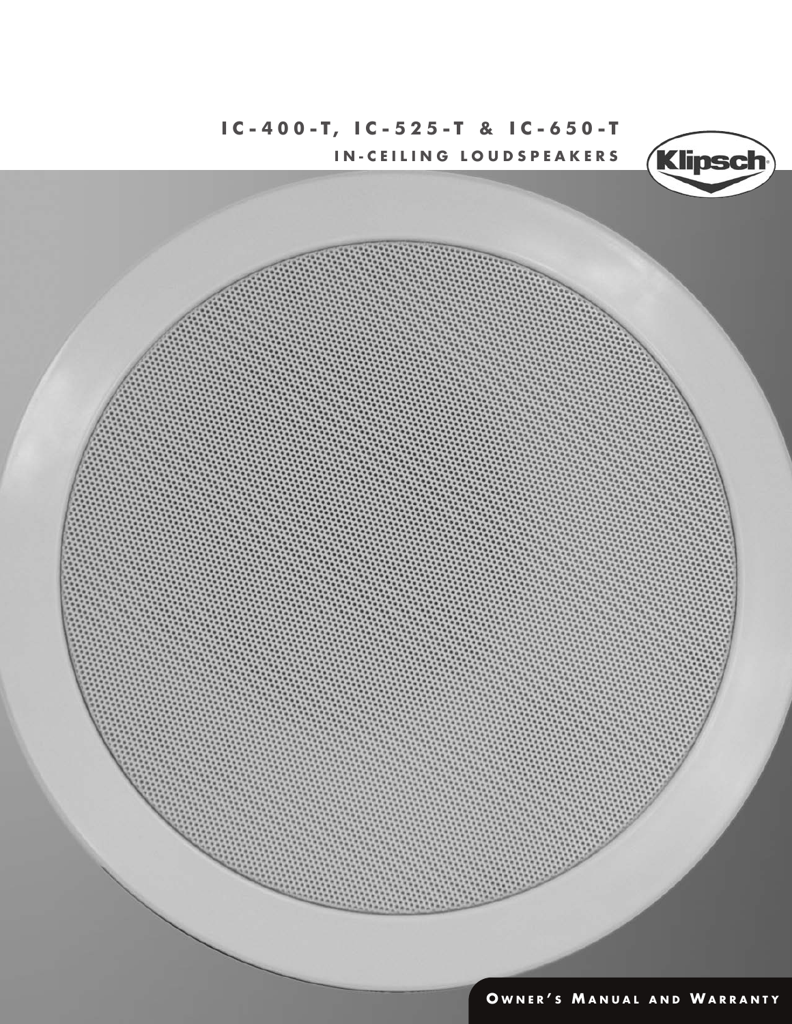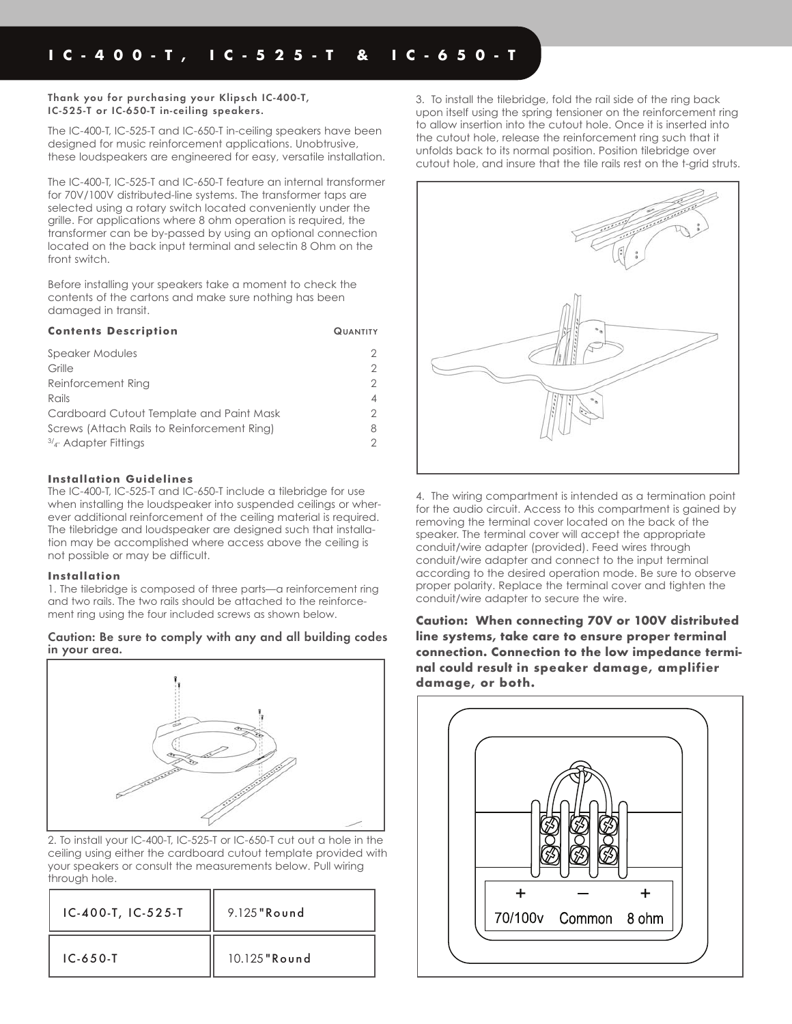#### **Thank you for purchasing your Klipsch IC-400-T, IC-525-T or IC-650-T in-ceiling speakers.**

The IC-400-T, IC-525-T and IC-650-T in-ceiling speakers have been designed for music reinforcement applications. Unobtrusive, these loudspeakers are engineered for easy, versatile installation.

The IC-400-T, IC-525-T and IC-650-T feature an internal transformer for 70V/100V distributed-line systems. The transformer taps are selected using a rotary switch located conveniently under the grille. For applications where 8 ohm operation is required, the transformer can be by-passed by using an optional connection located on the back input terminal and selectin 8 Ohm on the front switch.

Before installing your speakers take a moment to check the contents of the cartons and make sure nothing has been damaged in transit.

| <b>Contents Description</b>                 | <b>QUANTITY</b> |
|---------------------------------------------|-----------------|
| Speaker Modules                             |                 |
| Grille                                      |                 |
| Reinforcement Ring                          |                 |
| Rails                                       | 4               |
| Cardboard Cutout Template and Paint Mask    |                 |
| Screws (Attach Rails to Reinforcement Ring) | 8               |
| $3/4$ Adapter Fittings                      |                 |

## **Installation Guidelines**

The IC-400-T, IC-525-T and IC-650-T include a tilebridge for use when installing the loudspeaker into suspended ceilings or wherever additional reinforcement of the ceiling material is required. The tilebridge and loudspeaker are designed such that installation may be accomplished where access above the ceiling is not possible or may be difficult.

### **Installation**

1. The tilebridge is composed of three parts—a reinforcement ring and two rails. The two rails should be attached to the reinforcement ring using the four included screws as shown below.

### **Caution: Be sure to comply with any and all building codes in your area.**



2. To install your IC-400-T, IC-525-T or IC-650-T cut out a hole in the ceiling using either the cardboard cutout template provided with your speakers or consult the measurements below. Pull wiring through hole.

| $IC-400-T, IC-525-T$ | $9.125$ "Round" |
|----------------------|-----------------|
| $IC-650-T$           | $10.125$ "Round |

3. To install the tilebridge, fold the rail side of the ring back upon itself using the spring tensioner on the reinforcement ring to allow insertion into the cutout hole. Once it is inserted into the cutout hole, release the reinforcement ring such that it unfolds back to its normal position. Position tilebridge over cutout hole, and insure that the tile rails rest on the t-grid struts.



4. The wiring compartment is intended as a termination point for the audio circuit. Access to this compartment is gained by removing the terminal cover located on the back of the speaker. The terminal cover will accept the appropriate conduit/wire adapter (provided). Feed wires through conduit/wire adapter and connect to the input terminal according to the desired operation mode. Be sure to observe proper polarity. Replace the terminal cover and tighten the conduit/wire adapter to secure the wire.

**Caution: When connecting 70V or 100V distributed line systems, take care to ensure proper terminal connection. Connection to the low impedance terminal could result in speaker damage, amplifier damage, or both.** 

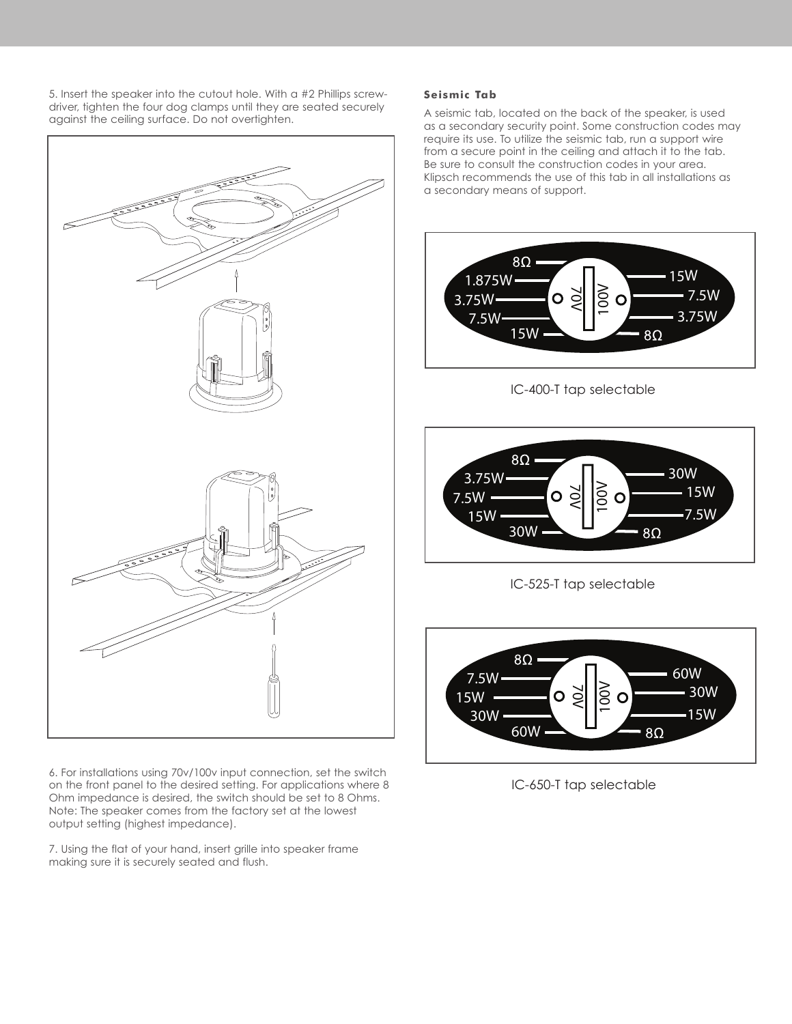5. Insert the speaker into the cutout hole. With a #2 Phillips screwdriver, tighten the four dog clamps until they are seated securely against the ceiling surface. Do not overtighten.



6. For installations using 70v/100v input connection, set the switch on the front panel to the desired setting. For applications where 8 Ohm impedance is desired, the switch should be set to 8 Ohms. Note: The speaker comes from the factory set at the lowest output setting (highest impedance).

7. Using the flat of your hand, insert grille into speaker frame making sure it is securely seated and flush.

## **Seismic Tab**

A seismic tab, located on the back of the speaker, is used as a secondary security point. Some construction codes may require its use. To utilize the seismic tab, run a support wire from a secure point in the ceiling and attach it to the tab. Be sure to consult the construction codes in your area. Klipsch recommends the use of this tab in all installations as a secondary means of support.



IC-400-T tap selectable



IC-525-T tap selectable



IC-650-T tap selectable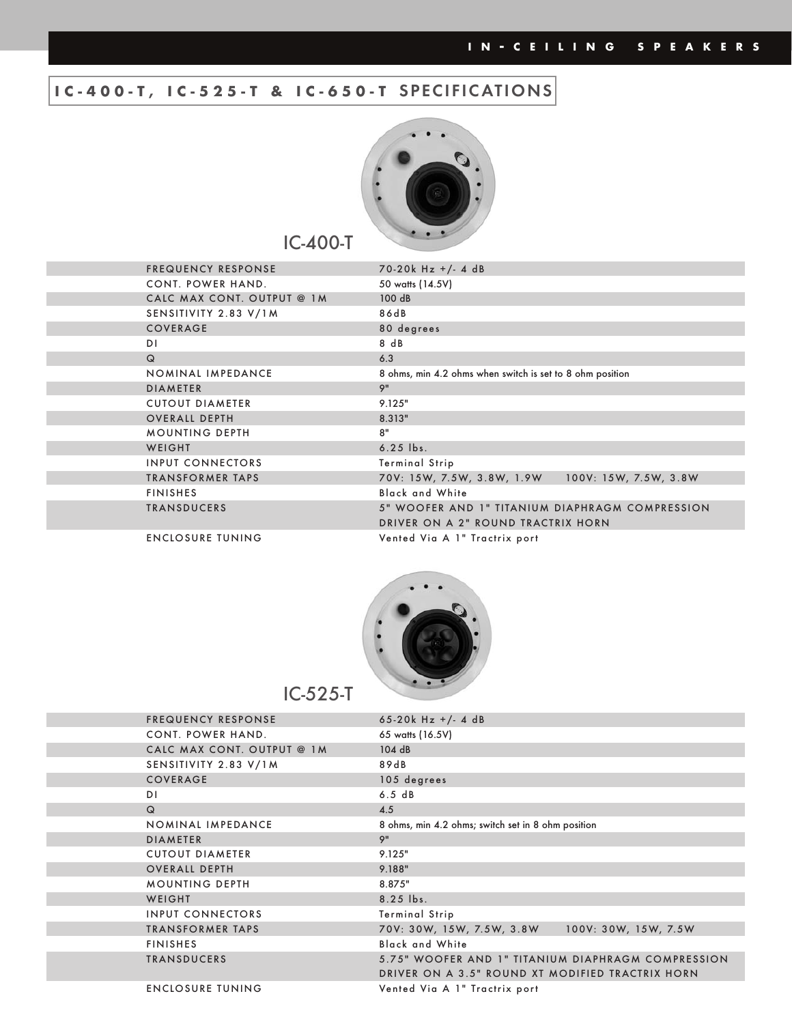# **IC-400-T, IC-525-T & IC-650-T SPECIFICATIONS**



IC-400-T

| <b>FREQUENCY RESPONSE</b>  | $70-20k$ Hz +/- 4 dB                                      |
|----------------------------|-----------------------------------------------------------|
| CONT. POWER HAND.          | 50 watts (14.5V)                                          |
| CALC MAX CONT. OUTPUT @ 1M | 100 dB                                                    |
| SENSITIVITY 2.83 V/1M      | 86dB                                                      |
| COVERAGE                   | 80 degrees                                                |
| DI.                        | 8 dB                                                      |
| $\Omega$                   | 6.3                                                       |
| NOMINAL IMPEDANCE          | 8 ohms, min 4.2 ohms when switch is set to 8 ohm position |
| <b>DIAMETER</b>            | 9"                                                        |
| <b>CUTOUT DIAMETER</b>     | 9.125"                                                    |
| <b>OVERALL DEPTH</b>       | 8.313"                                                    |
| <b>MOUNTING DEPTH</b>      | 8"                                                        |
| WEIGHT                     | $6.25$ lbs.                                               |
| <b>INPUT CONNECTORS</b>    | <b>Terminal Strip</b>                                     |
| <b>TRANSFORMER TAPS</b>    | 100V: 15W, 7.5W, 3.8W<br>70V: 15W, 7.5W, 3.8W, 1.9W       |
| <b>FINISHES</b>            | <b>Black and White</b>                                    |
| <b>TRANSDUCERS</b>         | 5" WOOFER AND 1" TITANIUM DIAPHRAGM COMPRESSION           |
|                            | DRIVER ON A 2" ROUND TRACTRIX HORN                        |
| <b>ENCLOSURE TUNING</b>    | Vented Via A 1" Tractrix port                             |
|                            |                                                           |



| <b>FREQUENCY RESPONSE</b>  | 65-20 $k$ Hz +/- 4 dB                              |
|----------------------------|----------------------------------------------------|
| CONT. POWER HAND.          | 65 watts (16.5V)                                   |
| CALC MAX CONT. OUTPUT @ 1M | 104dB                                              |
| SENSITIVITY 2.83 V/1M      | 89dB                                               |
| COVERAGE                   | 105 degrees                                        |
| D1                         | 6.5 dB                                             |
| $\mathsf Q$                | 4.5                                                |
| NOMINAL IMPEDANCE          | 8 ohms, min 4.2 ohms; switch set in 8 ohm position |
| <b>DIAMETER</b>            | 9"                                                 |
| <b>CUTOUT DIAMETER</b>     | 9.125"                                             |
| <b>OVERALL DEPTH</b>       | 9.188"                                             |
| <b>MOUNTING DEPTH</b>      | 8.875"                                             |
| WEIGHT                     | 8.25 lbs.                                          |
| <b>INPUT CONNECTORS</b>    | <b>Terminal Strip</b>                              |
| <b>TRANSFORMER TAPS</b>    | 100V: 30W, 15W, 7.5W<br>70V: 30W, 15W, 7.5W, 3.8W  |
| <b>FINISHES</b>            | <b>Black and White</b>                             |
| <b>TRANSDUCERS</b>         | 5.75" WOOFER AND 1" TITANIUM DIAPHRAGM COMPRESSION |
|                            | DRIVER ON A 3.5" ROUND XT MODIFIED TRACTRIX HORN   |
| <b>ENCLOSURE TUNING</b>    | Vented Via A 1" Tractrix port                      |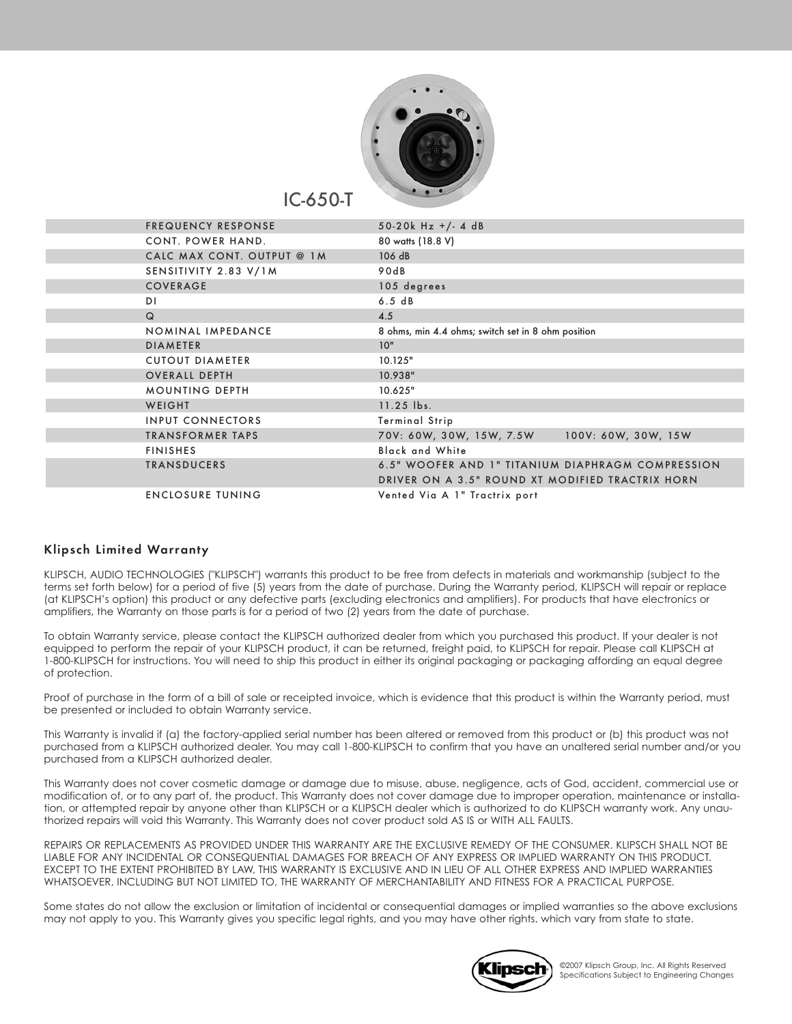

IC-650-T

| <b>FREQUENCY RESPONSE</b>  | 50-20 $k$ Hz +/- 4 dB                              |
|----------------------------|----------------------------------------------------|
| CONT. POWER HAND.          | 80 watts (18.8 V)                                  |
| CALC MAX CONT. OUTPUT @ 1M | 106 dB                                             |
| SENSITIVITY 2.83 V/1M      | 90dB                                               |
| COVERAGE                   | 105 degrees                                        |
| DΙ                         | 6.5 dB                                             |
| $\Omega$                   | 4.5                                                |
| NOMINAL IMPEDANCE          | 8 ohms, min 4.4 ohms; switch set in 8 ohm position |
| <b>DIAMETER</b>            | 10"                                                |
| <b>CUTOUT DIAMETER</b>     | 10.125"                                            |
| <b>OVERALL DEPTH</b>       | 10.938"                                            |
| <b>MOUNTING DEPTH</b>      | 10.625"                                            |
| WEIGHT                     | 11.25 lbs.                                         |
| <b>INPUT CONNECTORS</b>    | <b>Terminal Strip</b>                              |
| <b>TRANSFORMER TAPS</b>    | 70V: 60W, 30W, 15W, 7.5W<br>100V: 60W, 30W, 15W    |
| <b>FINISHES</b>            | <b>Black and White</b>                             |
| <b>TRANSDUCERS</b>         | 6.5" WOOFER AND 1" TITANIUM DIAPHRAGM COMPRESSION  |
|                            | DRIVER ON A 3.5" ROUND XT MODIFIED TRACTRIX HORN   |
| <b>ENCLOSURE TUNING</b>    | Vented Via A 1" Tractrix port                      |

## **Klipsch Limited Warranty**

KLIPSCH, AUDIO TECHNOLOGIES ("KLIPSCH") warrants this product to be free from defects in materials and workmanship (subject to the terms set forth below) for a period of five (5) years from the date of purchase. During the Warranty period, KLIPSCH will repair or replace (at KLIPSCH's option) this product or any defective parts (excluding electronics and amplifiers). For products that have electronics or amplifiers, the Warranty on those parts is for a period of two (2) years from the date of purchase.

To obtain Warranty service, please contact the KLIPSCH authorized dealer from which you purchased this product. If your dealer is not equipped to perform the repair of your KLIPSCH product, it can be returned, freight paid, to KLIPSCH for repair. Please call KLIPSCH at 1-800-KLIPSCH for instructions. You will need to ship this product in either its original packaging or packaging affording an equal degree of protection.

Proof of purchase in the form of a bill of sale or receipted invoice, which is evidence that this product is within the Warranty period, must be presented or included to obtain Warranty service.

This Warranty is invalid if (a) the factory-applied serial number has been altered or removed from this product or (b) this product was not purchased from a KLIPSCH authorized dealer. You may call 1-800-KLIPSCH to confirm that you have an unaltered serial number and/or you purchased from a KLIPSCH authorized dealer.

This Warranty does not cover cosmetic damage or damage due to misuse, abuse, negligence, acts of God, accident, commercial use or modification of, or to any part of, the product. This Warranty does not cover damage due to improper operation, maintenance or installation, or attempted repair by anyone other than KLIPSCH or a KLIPSCH dealer which is authorized to do KLIPSCH warranty work. Any unauthorized repairs will void this Warranty. This Warranty does not cover product sold AS IS or WITH ALL FAULTS.

REPAIRS OR REPLACEMENTS AS PROVIDED UNDER THIS WARRANTY ARE THE EXCLUSIVE REMEDY OF THE CONSUMER. KLIPSCH SHALL NOT BE LIABLE FOR ANY INCIDENTAL OR CONSEQUENTIAL DAMAGES FOR BREACH OF ANY EXPRESS OR IMPLIED WARRANTY ON THIS PRODUCT. EXCEPT TO THE EXTENT PROHIBITED BY LAW, THIS WARRANTY IS EXCLUSIVE AND IN LIEU OF ALL OTHER EXPRESS AND IMPLIED WARRANTIES WHATSOEVER, INCLUDING BUT NOT LIMITED TO, THE WARRANTY OF MERCHANTABILITY AND FITNESS FOR A PRACTICAL PURPOSE.

Some states do not allow the exclusion or limitation of incidental or consequential damages or implied warranties so the above exclusions may not apply to you. This Warranty gives you specific legal rights, and you may have other rights, which vary from state to state.